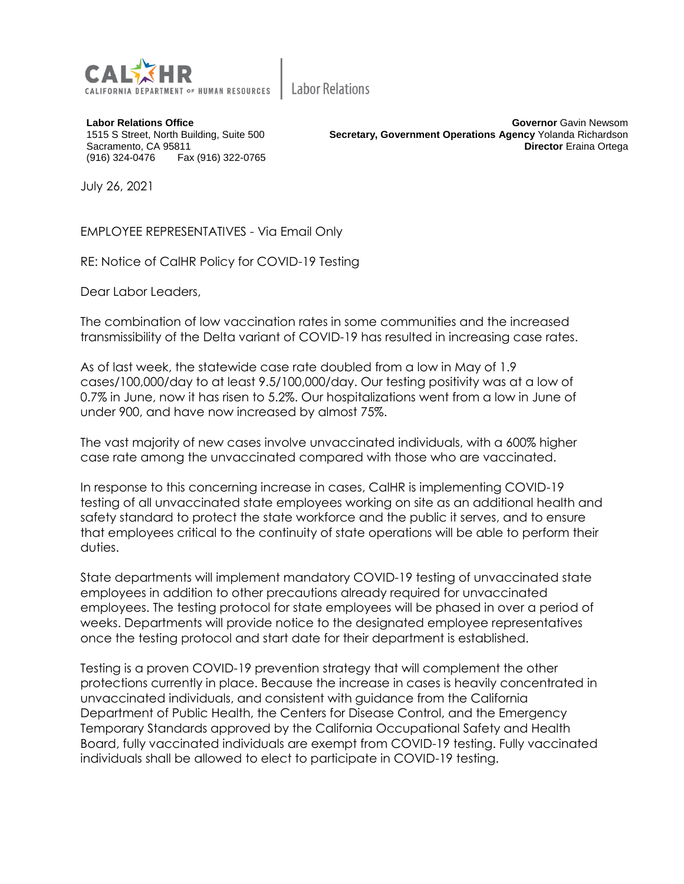

**Labor Relations** 

**Labor Relations Office** 1515 S Street, North Building, Suite 500 Sacramento, CA 95811 (916) 324-0476 Fax (916) 322-0765

**Governor** Gavin Newsom **Secretary, Government Operations Agency** Yolanda Richardson **Director** Eraina Ortega

July 26, 2021

EMPLOYEE REPRESENTATIVES - Via Email Only

RE: Notice of CalHR Policy for COVID-19 Testing

Dear Labor Leaders,

The combination of low vaccination rates in some communities and the increased transmissibility of the Delta variant of COVID-19 has resulted in increasing case rates.

As of last week, the statewide case rate doubled from a low in May of 1.9 cases/100,000/day to at least 9.5/100,000/day. Our testing positivity was at a low of 0.7% in June, now it has risen to 5.2%. Our hospitalizations went from a low in June of under 900, and have now increased by almost 75%.

The vast majority of new cases involve unvaccinated individuals, with a 600% higher case rate among the unvaccinated compared with those who are vaccinated.

In response to this concerning increase in cases, CalHR is implementing COVID-19 testing of all unvaccinated state employees working on site as an additional health and safety standard to protect the state workforce and the public it serves, and to ensure that employees critical to the continuity of state operations will be able to perform their duties.

State departments will implement mandatory COVID-19 testing of unvaccinated state employees in addition to other precautions already required for unvaccinated employees. The testing protocol for state employees will be phased in over a period of weeks. Departments will provide notice to the designated employee representatives once the testing protocol and start date for their department is established.

Testing is a proven COVID-19 prevention strategy that will complement the other protections currently in place. Because the increase in cases is heavily concentrated in unvaccinated individuals, and consistent with guidance from the California Department of Public Health, the Centers for Disease Control, and the Emergency Temporary Standards approved by the California Occupational Safety and Health Board, fully vaccinated individuals are exempt from COVID-19 testing. Fully vaccinated individuals shall be allowed to elect to participate in COVID-19 testing.